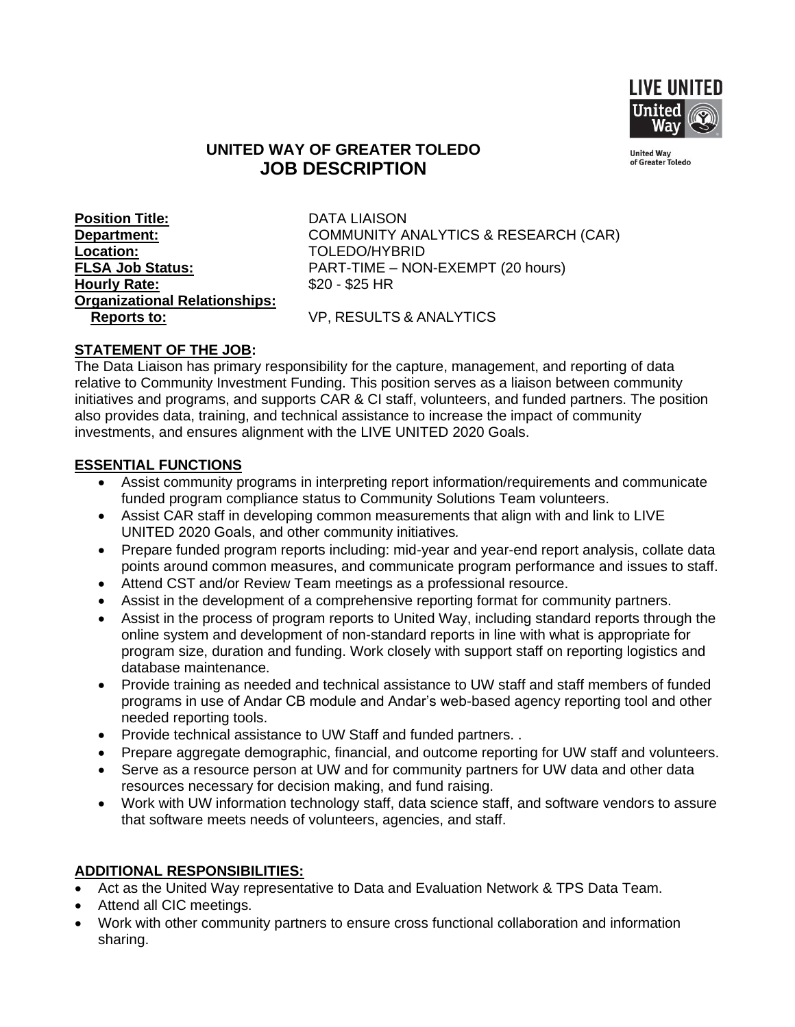

# **UNITED WAY OF GREATER TOLEDO JOB DESCRIPTION**

**United Way<br>of Greater Toledo** 

**Position Title:** DATA LIAISON **Location:** TOLEDO/HYBRID **Hourly Rate:**  $$20 - $25$  HR **Organizational Relationships: Reports to:** VP, RESULTS & ANALYTICS

**Department:** COMMUNITY ANALYTICS & RESEARCH (CAR) **FLSA Job Status:** PART-TIME – NON-EXEMPT (20 hours)

# **STATEMENT OF THE JOB:**

The Data Liaison has primary responsibility for the capture, management, and reporting of data relative to Community Investment Funding. This position serves as a liaison between community initiatives and programs, and supports CAR & CI staff, volunteers, and funded partners. The position also provides data, training, and technical assistance to increase the impact of community investments, and ensures alignment with the LIVE UNITED 2020 Goals.

#### **ESSENTIAL FUNCTIONS**

- Assist community programs in interpreting report information/requirements and communicate funded program compliance status to Community Solutions Team volunteers.
- Assist CAR staff in developing common measurements that align with and link to LIVE UNITED 2020 Goals, and other community initiatives*.*
- Prepare funded program reports including: mid-year and year-end report analysis, collate data points around common measures, and communicate program performance and issues to staff.
- Attend CST and/or Review Team meetings as a professional resource.
- Assist in the development of a comprehensive reporting format for community partners.
- Assist in the process of program reports to United Way, including standard reports through the online system and development of non-standard reports in line with what is appropriate for program size, duration and funding. Work closely with support staff on reporting logistics and database maintenance.
- Provide training as needed and technical assistance to UW staff and staff members of funded programs in use of Andar CB module and Andar's web-based agency reporting tool and other needed reporting tools.
- Provide technical assistance to UW Staff and funded partners. .
- Prepare aggregate demographic, financial, and outcome reporting for UW staff and volunteers.
- Serve as a resource person at UW and for community partners for UW data and other data resources necessary for decision making, and fund raising.
- Work with UW information technology staff, data science staff, and software vendors to assure that software meets needs of volunteers, agencies, and staff.

# **ADDITIONAL RESPONSIBILITIES:**

- Act as the United Way representative to Data and Evaluation Network & TPS Data Team.
- Attend all CIC meetings.
- Work with other community partners to ensure cross functional collaboration and information sharing.